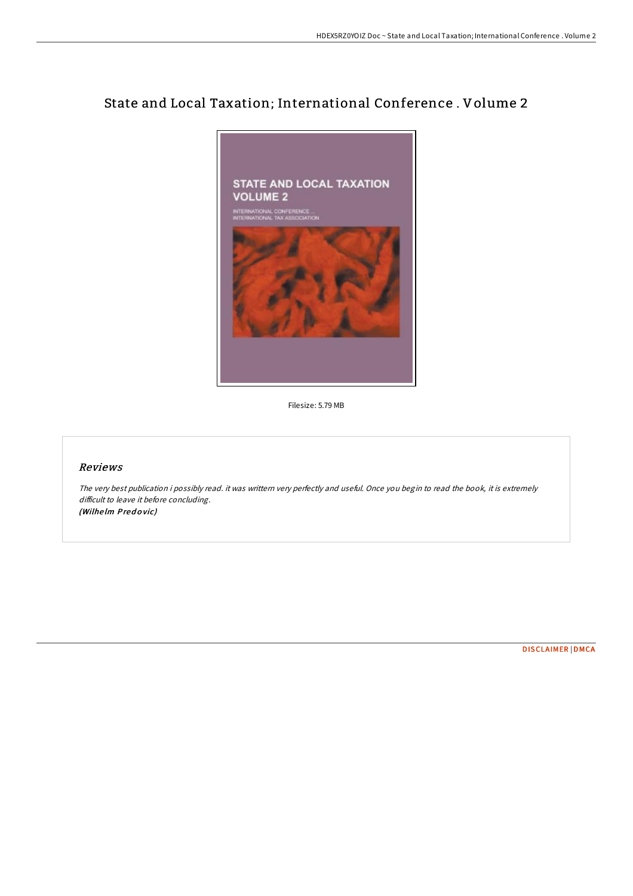# State and Local Taxation; International Conference . Volume 2



Filesize: 5.79 MB

## Reviews

The very best publication i possibly read. it was writtern very perfectly and useful. Once you begin to read the book, it is extremely difficult to leave it before concluding. (Wilhelm Predovic)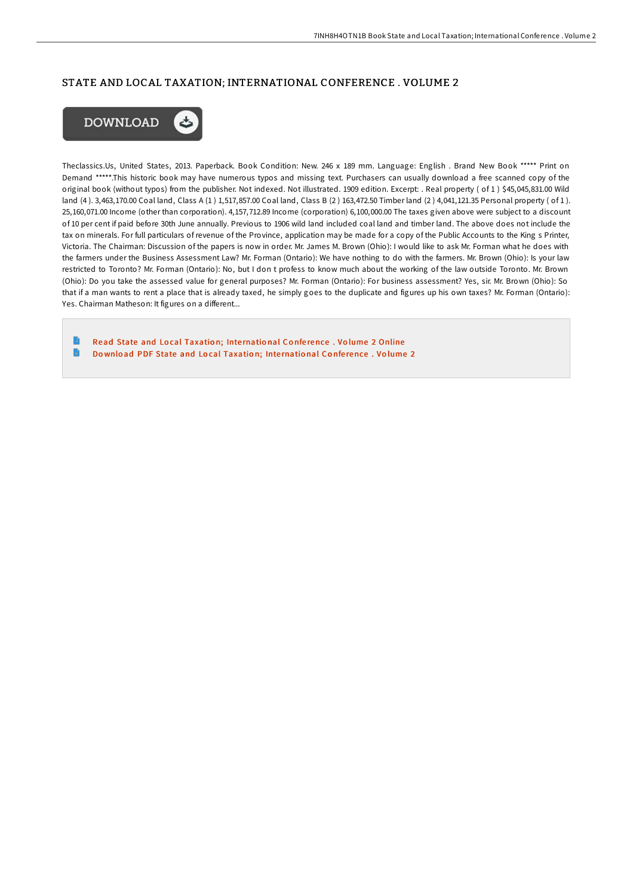## STATE AND LOCAL TAXATION; INTERNATIONAL CONFERENCE . VOLUME 2



Theclassics.Us, United States, 2013. Paperback. Book Condition: New. 246 x 189 mm. Language: English . Brand New Book \*\*\*\*\* Print on Demand \*\*\*\*\*.This historic book may have numerous typos and missing text. Purchasers can usually download a free scanned copy of the original book (without typos) from the publisher. Not indexed. Not illustrated. 1909 edition. Excerpt: . Real property ( of 1 ) \$45,045,831.00 Wild land (4 ). 3,463,170.00 Coal land, Class A (1 ) 1,517,857.00 Coal land, Class B (2 ) 163,472.50 Timber land (2 ) 4,041,121.35 Personal property ( of 1 ). 25,160,071.00 Income (other than corporation). 4,157,712.89 Income (corporation) 6,100,000.00 The taxes given above were subject to a discount of 10 per cent if paid before 30th June annually. Previous to 1906 wild land included coal land and timber land. The above does not include the tax on minerals. For full particulars of revenue of the Province, application may be made for a copy of the Public Accounts to the King s Printer, Victoria. The Chairman: Discussion of the papers is now in order. Mr. James M. Brown (Ohio): I would like to ask Mr. Forman what he does with the farmers under the Business Assessment Law? Mr. Forman (Ontario): We have nothing to do with the farmers. Mr. Brown (Ohio): Is your law restricted to Toronto? Mr. Forman (Ontario): No, but I don t profess to know much about the working of the law outside Toronto. Mr. Brown (Ohio): Do you take the assessed value for general purposes? Mr. Forman (Ontario): For business assessment? Yes, sir. Mr. Brown (Ohio): So that if a man wants to rent a place that is already taxed, he simply goes to the duplicate and figures up his own taxes? Mr. Forman (Ontario): Yes. Chairman Matheson: It figures on a different...

Read State and Local [Taxatio](http://almighty24.tech/state-and-local-taxation-international-conferenc.html)n; International Conference . Volume 2 Online G Do wnload PDF State and Local [Taxatio](http://almighty24.tech/state-and-local-taxation-international-conferenc.html)n; International Conference. Volume 2